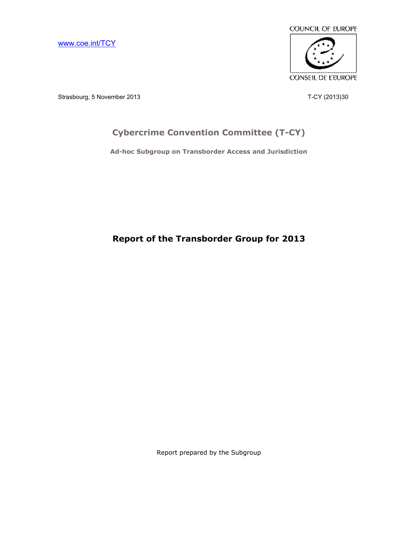[www.coe.int/TCY](http://www.coe.int/TCY)



Strasbourg, 5 November 2013 2008 7-CY (2013)30

# **Cybercrime Convention Committee (T-CY)**

**Ad-hoc Subgroup on Transborder Access and Jurisdiction**

**Report of the Transborder Group for 2013**

Report prepared by the Subgroup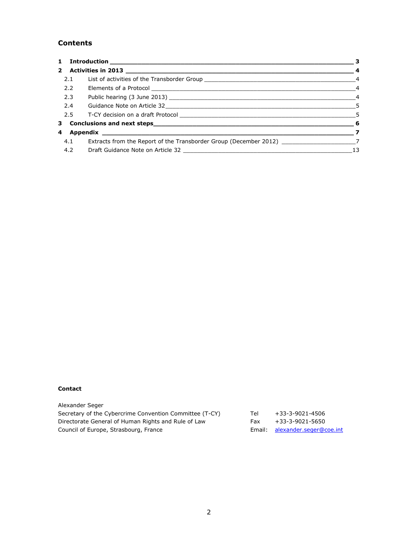### **Contents**

| 2.1 |                                                                                                       |    |
|-----|-------------------------------------------------------------------------------------------------------|----|
| 2.2 |                                                                                                       |    |
| 2.3 |                                                                                                       |    |
| 2.4 |                                                                                                       |    |
|     |                                                                                                       |    |
|     |                                                                                                       |    |
|     |                                                                                                       |    |
|     | 4.1 Extracts from the Report of the Transborder Group (December 2012) ______________________________7 |    |
|     |                                                                                                       | 13 |

#### **Contact**

| Alexander Seger                                         |     |                                |
|---------------------------------------------------------|-----|--------------------------------|
| Secretary of the Cybercrime Convention Committee (T-CY) | Tel | +33-3-9021-4506                |
| Directorate General of Human Rights and Rule of Law     | Fax | +33-3-9021-5650                |
| Council of Europe, Strasbourg, France                   |     | Email: alexander.seger@coe.int |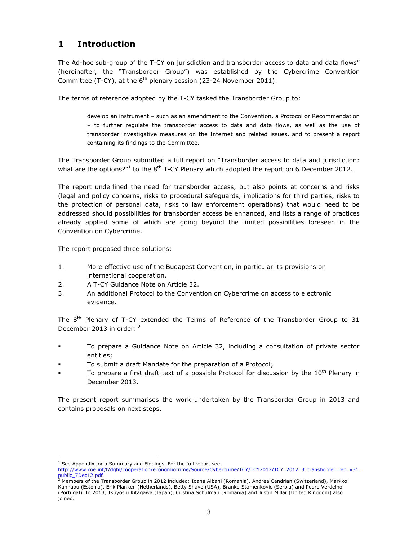# **1 Introduction**

The Ad-hoc sub-group of the T-CY on jurisdiction and transborder access to data and data flows" (hereinafter, the "Transborder Group") was established by the Cybercrime Convention Committee (T-CY), at the  $6<sup>th</sup>$  plenary session (23-24 November 2011).

The terms of reference adopted by the T-CY tasked the Transborder Group to:

develop an instrument - such as an amendment to the Convention, a Protocol or Recommendation ± to further regulate the transborder access to data and data flows, as well as the use of transborder investigative measures on the Internet and related issues, and to present a report containing its findings to the Committee.

The Transborder Group submitted a full report on "Transborder access to data and jurisdiction: what are the options?"<sup>1</sup> to the 8<sup>th</sup> T-CY Plenary which adopted the report on 6 December 2012.

The report underlined the need for transborder access, but also points at concerns and risks (legal and policy concerns, risks to procedural safeguards, implications for third parties, risks to the protection of personal data, risks to law enforcement operations) that would need to be addressed should possibilities for transborder access be enhanced, and lists a range of practices already applied some of which are going beyond the limited possibilities foreseen in the Convention on Cybercrime.

The report proposed three solutions:

- 1. More effective use of the Budapest Convention, in particular its provisions on international cooperation.
- 2. A T-CY Guidance Note on Article 32.
- 3. An additional Protocol to the Convention on Cybercrime on access to electronic evidence.

The  $8<sup>th</sup>$  Plenary of T-CY extended the Terms of Reference of the Transborder Group to 31 December 2013 in order: <sup>2</sup>

- To prepare a Guidance Note on Article 32, including a consultation of private sector entities;
- To submit a draft Mandate for the preparation of a Protocol;
- To prepare a first draft text of a possible Protocol for discussion by the  $10^{th}$  Plenary in December 2013.

The present report summarises the work undertaken by the Transborder Group in 2013 and contains proposals on next steps.

i<br>I  $1$  See Appendix for a Summary and Findings. For the full report see:

[http://www.coe.int/t/dghl/cooperation/economiccrime/Source/Cybercrime/TCY/TCY2012/TCY\\_2012\\_3\\_transborder\\_rep\\_V31](http://www.coe.int/t/dghl/cooperation/economiccrime/Source/Cybercrime/TCY/TCY2012/TCY_2012_3_transborder_rep_V31public_7Dec12.pdf) [public\\_7Dec12.pdf](http://www.coe.int/t/dghl/cooperation/economiccrime/Source/Cybercrime/TCY/TCY2012/TCY_2012_3_transborder_rep_V31public_7Dec12.pdf)<br><sup>2</sup> Members of the Transborder Group in 2012 included: Ioana Albani (Romania), Andrea Candrian (Switzerland), Markko

Kunnapu (Estonia), Erik Planken (Netherlands), Betty Shave (USA), Branko Stamenkovic (Serbia) and Pedro Verdelho (Portugal). In 2013, Tsuyoshi Kitagawa (Japan), Cristina Schulman (Romania) and Justin Millar (United Kingdom) also joined.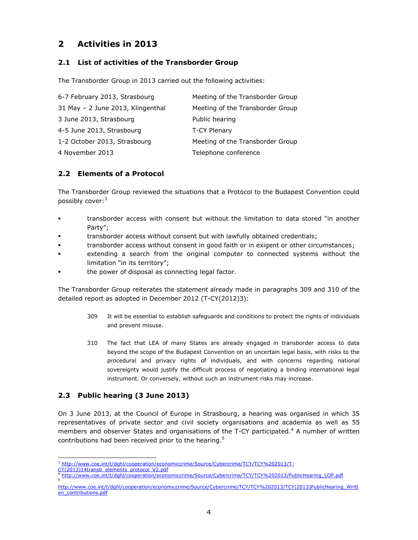# **2 Activities in 2013**

#### **2.1 List of activities of the Transborder Group**

The Transborder Group in 2013 carried out the following activities:

| 6-7 February 2013, Strasbourg     | Meeting of the Transborder Group |
|-----------------------------------|----------------------------------|
| 31 May - 2 June 2013, Klingenthal | Meeting of the Transborder Group |
| 3 June 2013, Strasbourg           | Public hearing                   |
| 4-5 June 2013, Strasbourg         | T-CY Plenary                     |
| 1-2 October 2013, Strasbourg      | Meeting of the Transborder Group |
| 4 November 2013                   | Telephone conference             |

### **2.2 Elements of a Protocol**

The Transborder Group reviewed the situations that a Protocol to the Budapest Convention could possibly cover:<sup>3</sup>

- transborder access with consent but without the limitation to data stored "in another Party";
- transborder access without consent but with lawfully obtained credentials;
- transborder access without consent in good faith or in exigent or other circumstances;
- extending a search from the original computer to connected systems without the limitation "in its territory";
- the power of disposal as connecting legal factor.

The Transborder Group reiterates the statement already made in paragraphs 309 and 310 of the detailed report as adopted in December 2012 (T-CY(2012)3):

- 309 It will be essential to establish safeguards and conditions to protect the rights of individuals and prevent misuse.
- 310 The fact that LEA of many States are already engaged in transborder access to data beyond the scope of the Budapest Convention on an uncertain legal basis, with risks to the procedural and privacy rights of individuals, and with concerns regarding national sovereignty would justify the difficult process of negotiating a binding international legal instrument. Or conversely, without such an instrument risks may increase.

### **2.3 Public hearing (3 June 2013)**

On 3 June 2013, at the Council of Europe in Strasbourg, a hearing was organised in which 35 representatives of private sector and civil society organisations and academia as well as 55 members and observer States and organisations of the T-CY participated. $4$  A number of written contributions had been received prior to the hearing. $5$ 

i<br>I <sup>3</sup> [http://www.coe.int/t/dghl/cooperation/economiccrime/Source/Cybercrime/TCY/TCY%202013/T-](http://www.coe.int/t/dghl/cooperation/economiccrime/Source/Cybercrime/TCY/TCY%202013/T-CY(2013)14transb_elements_protocol_V2.pdf)

[CY\(2013\)14transb\\_elements\\_protocol\\_V2.pdf](http://www.coe.int/t/dghl/cooperation/economiccrime/Source/Cybercrime/TCY/TCY%202013/T-CY(2013)14transb_elements_protocol_V2.pdf)

<sup>4</sup> [http://www.coe.int/t/dghl/cooperation/economiccrime/Source/Cybercrime/TCY/TCY%202013/PublicHearing\\_LOP.pdf](http://www.coe.int/t/dghl/cooperation/economiccrime/Source/Cybercrime/TCY/TCY%202013/PublicHearing_LOP.pdf) 5

[http://www.coe.int/t/dghl/cooperation/economiccrime/Source/Cybercrime/TCY/TCY%202013/TCY\(2013\)PublicHearing\\_Writt](http://www.coe.int/t/dghl/cooperation/economiccrime/Source/Cybercrime/TCY/TCY%202013/TCY(2013)PublicHearing_Written_contributions.pdf) [en\\_contributions.pdf](http://www.coe.int/t/dghl/cooperation/economiccrime/Source/Cybercrime/TCY/TCY%202013/TCY(2013)PublicHearing_Written_contributions.pdf)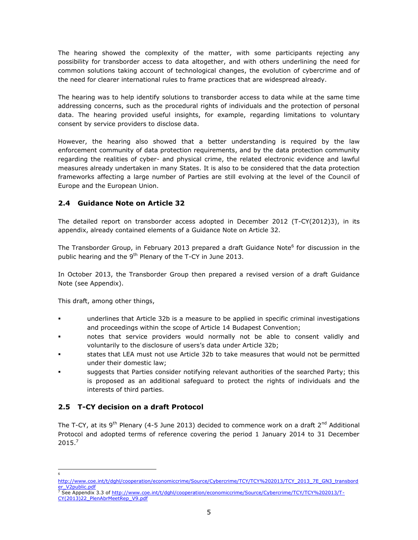The hearing showed the complexity of the matter, with some participants rejecting any possibility for transborder access to data altogether, and with others underlining the need for common solutions taking account of technological changes, the evolution of cybercrime and of the need for clearer international rules to frame practices that are widespread already.

The hearing was to help identify solutions to transborder access to data while at the same time addressing concerns, such as the procedural rights of individuals and the protection of personal data. The hearing provided useful insights, for example, regarding limitations to voluntary consent by service providers to disclose data.

However, the hearing also showed that a better understanding is required by the law enforcement community of data protection requirements, and by the data protection community regarding the realities of cyber- and physical crime, the related electronic evidence and lawful measures already undertaken in many States. It is also to be considered that the data protection frameworks affecting a large number of Parties are still evolving at the level of the Council of Europe and the European Union.

### **2.4 Guidance Note on Article 32**

The detailed report on transborder access adopted in December 2012 (T-CY(2012)3), in its appendix, already contained elements of a Guidance Note on Article 32.

The Transborder Group, in February 2013 prepared a draft Guidance Note<sup>6</sup> for discussion in the public hearing and the  $9<sup>th</sup>$  Plenary of the T-CY in June 2013.

In October 2013, the Transborder Group then prepared a revised version of a draft Guidance Note (see Appendix).

This draft, among other things,

- underlines that Article 32b is a measure to be applied in specific criminal investigations and proceedings within the scope of Article 14 Budapest Convention;
- notes that service providers would normally not be able to consent validly and voluntarily to the disclosure of users's data under Article 32b;
- states that LEA must not use Article 32b to take measures that would not be permitted under their domestic law;
- suggests that Parties consider notifying relevant authorities of the searched Party; this is proposed as an additional safeguard to protect the rights of individuals and the interests of third parties.

### **2.5 T-CY decision on a draft Protocol**

The T-CY, at its 9<sup>th</sup> Plenary (4-5 June 2013) decided to commence work on a draft  $2^{nd}$  Additional Protocol and adopted terms of reference covering the period 1 January 2014 to 31 December 2015.<sup>7</sup>

i<br>I 6

[http://www.coe.int/t/dghl/cooperation/economiccrime/Source/Cybercrime/TCY/TCY%202013/TCY\\_2013\\_7E\\_GN3\\_transbord](http://www.coe.int/t/dghl/cooperation/economiccrime/Source/Cybercrime/TCY/TCY%202013/TCY_2013_7E_GN3_transborder_V2public.pdf) e<u>r\_V2public.pdf</u><br><sup>7</sup> See Appendix 3.3 of <u>http://www.coe.int/t/dqhl/cooperation/economiccrime/Source/Cybercrime/TCY/TCY%202013/T-</u>

[CY\(2013\)22\\_PlenAbrMeetRep\\_V9.pdf](http://www.coe.int/t/dghl/cooperation/economiccrime/Source/Cybercrime/TCY/TCY%202013/T-CY(2013)22_PlenAbrMeetRep_V9.pdf)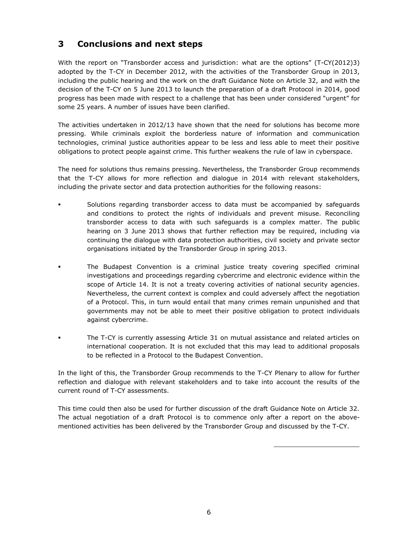# **3 Conclusions and next steps**

With the report on "Transborder access and jurisdiction: what are the options" (T-CY(2012)3) adopted by the T-CY in December 2012, with the activities of the Transborder Group in 2013, including the public hearing and the work on the draft Guidance Note on Article 32, and with the decision of the T-CY on 5 June 2013 to launch the preparation of a draft Protocol in 2014, good progress has been made with respect to a challenge that has been under considered "urgent" for some 25 years. A number of issues have been clarified.

The activities undertaken in 2012/13 have shown that the need for solutions has become more pressing. While criminals exploit the borderless nature of information and communication technologies, criminal justice authorities appear to be less and less able to meet their positive obligations to protect people against crime. This further weakens the rule of law in cyberspace.

The need for solutions thus remains pressing. Nevertheless, the Transborder Group recommends that the T-CY allows for more reflection and dialogue in 2014 with relevant stakeholders, including the private sector and data protection authorities for the following reasons:

- Solutions regarding transborder access to data must be accompanied by safeguards and conditions to protect the rights of individuals and prevent misuse. Reconciling transborder access to data with such safeguards is a complex matter. The public hearing on 3 June 2013 shows that further reflection may be required, including via continuing the dialogue with data protection authorities, civil society and private sector organisations initiated by the Transborder Group in spring 2013.
- The Budapest Convention is a criminal justice treaty covering specified criminal investigations and proceedings regarding cybercrime and electronic evidence within the scope of Article 14. It is not a treaty covering activities of national security agencies. Nevertheless, the current context is complex and could adversely affect the negotiation of a Protocol. This, in turn would entail that many crimes remain unpunished and that governments may not be able to meet their positive obligation to protect individuals against cybercrime.
- The T-CY is currently assessing Article 31 on mutual assistance and related articles on international cooperation. It is not excluded that this may lead to additional proposals to be reflected in a Protocol to the Budapest Convention.

In the light of this, the Transborder Group recommends to the T-CY Plenary to allow for further reflection and dialogue with relevant stakeholders and to take into account the results of the current round of T-CY assessments.

This time could then also be used for further discussion of the draft Guidance Note on Article 32. The actual negotiation of a draft Protocol is to commence only after a report on the abovementioned activities has been delivered by the Transborder Group and discussed by the T-CY.

\_\_\_\_\_\_\_\_\_\_\_\_\_\_\_\_\_\_\_\_\_\_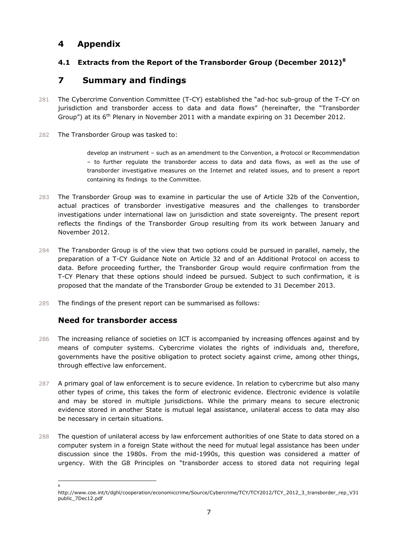## **4 Appendix**

### **4.1 Extracts from the Report of the Transborder Group (December 2012)<sup>8</sup>**

## **7 Summary and findings**

- 281 The Cybercrime Convention Committee (T-CY) established the "ad-hoc sub-group of the T-CY on jurisdiction and transborder access to data and data flows" (hereinafter, the "Transborder Group") at its 6<sup>th</sup> Plenary in November 2011 with a mandate expiring on 31 December 2012.
- 282 The Transborder Group was tasked to:

develop an instrument - such as an amendment to the Convention, a Protocol or Recommendation ± to further regulate the transborder access to data and data flows, as well as the use of transborder investigative measures on the Internet and related issues, and to present a report containing its findings to the Committee.

- 283 The Transborder Group was to examine in particular the use of Article 32b of the Convention, actual practices of transborder investigative measures and the challenges to transborder investigations under international law on jurisdiction and state sovereignty. The present report reflects the findings of the Transborder Group resulting from its work between January and November 2012.
- 284 The Transborder Group is of the view that two options could be pursued in parallel, namely, the preparation of a T-CY Guidance Note on Article 32 and of an Additional Protocol on access to data. Before proceeding further, the Transborder Group would require confirmation from the T-CY Plenary that these options should indeed be pursued. Subject to such confirmation, it is proposed that the mandate of the Transborder Group be extended to 31 December 2013.
- 285 The findings of the present report can be summarised as follows:

### **Need for transborder access**

i<br>I 8

- 286 The increasing reliance of societies on ICT is accompanied by increasing offences against and by means of computer systems. Cybercrime violates the rights of individuals and, therefore, governments have the positive obligation to protect society against crime, among other things, through effective law enforcement.
- 287 A primary goal of law enforcement is to secure evidence. In relation to cybercrime but also many other types of crime, this takes the form of electronic evidence. Electronic evidence is volatile and may be stored in multiple jurisdictions. While the primary means to secure electronic evidence stored in another State is mutual legal assistance, unilateral access to data may also be necessary in certain situations.
- 288 The question of unilateral access by law enforcement authorities of one State to data stored on a computer system in a foreign State without the need for mutual legal assistance has been under discussion since the 1980s. From the mid-1990s, this question was considered a matter of urgency. With the G8 Principles on "transborder access to stored data not requiring legal

http://www.coe.int/t/dghl/cooperation/economiccrime/Source/Cybercrime/TCY/TCY2012/TCY\_2012\_3\_transborder\_rep\_V31 public\_7Dec12.pdf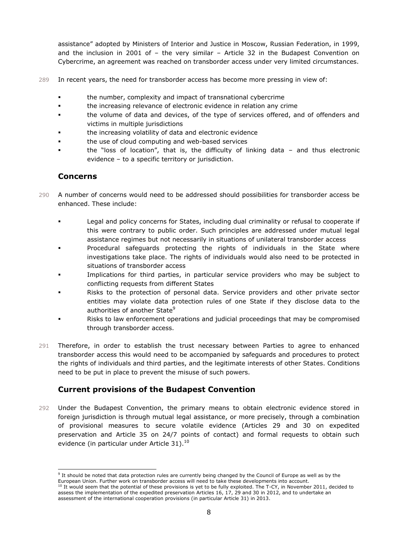assistance" adopted by Ministers of Interior and Justice in Moscow, Russian Federation, in 1999, and the inclusion in 2001 of  $-$  the very similar  $-$  Article 32 in the Budapest Convention on Cybercrime, an agreement was reached on transborder access under very limited circumstances.

- 289 In recent years, the need for transborder access has become more pressing in view of:
	- the number, complexity and impact of transnational cybercrime
	- the increasing relevance of electronic evidence in relation any crime
	- the volume of data and devices, of the type of services offered, and of offenders and victims in multiple jurisdictions
	- the increasing volatility of data and electronic evidence
	- the use of cloud computing and web-based services
	- the "loss of location", that is, the difficulty of linking data  $-$  and thus electronic evidence  $-$  to a specific territory or jurisdiction.

### **Concerns**

i<br>I

- 290 A number of concerns would need to be addressed should possibilities for transborder access be enhanced. These include:
	- Legal and policy concerns for States, including dual criminality or refusal to cooperate if this were contrary to public order. Such principles are addressed under mutual legal assistance regimes but not necessarily in situations of unilateral transborder access
	- Procedural safeguards protecting the rights of individuals in the State where investigations take place. The rights of individuals would also need to be protected in situations of transborder access
	- Implications for third parties, in particular service providers who may be subject to conflicting requests from different States
	- Risks to the protection of personal data. Service providers and other private sector entities may violate data protection rules of one State if they disclose data to the authorities of another State<sup>9</sup>
	- Risks to law enforcement operations and judicial proceedings that may be compromised through transborder access.
- 291 Therefore, in order to establish the trust necessary between Parties to agree to enhanced transborder access this would need to be accompanied by safeguards and procedures to protect the rights of individuals and third parties, and the legitimate interests of other States. Conditions need to be put in place to prevent the misuse of such powers.

### **Current provisions of the Budapest Convention**

292 Under the Budapest Convention, the primary means to obtain electronic evidence stored in foreign jurisdiction is through mutual legal assistance, or more precisely, through a combination of provisional measures to secure volatile evidence (Articles 29 and 30 on expedited preservation and Article 35 on 24/7 points of contact) and formal requests to obtain such evidence (in particular under Article 31). $10$ 

<sup>&</sup>lt;sup>9</sup> It should be noted that data protection rules are currently being changed by the Council of Europe as well as by the European Union. Further work on transborder access will need to take these developments into account.

<sup>&</sup>lt;sup>10</sup> It would seem that the potential of these provisions is yet to be fully exploited. The T-CY, in November 2011, decided to assess the implementation of the expedited preservation Articles 16, 17, 29 and 30 in 2012, and to undertake an assessment of the international cooperation provisions (in particular Article 31) in 2013.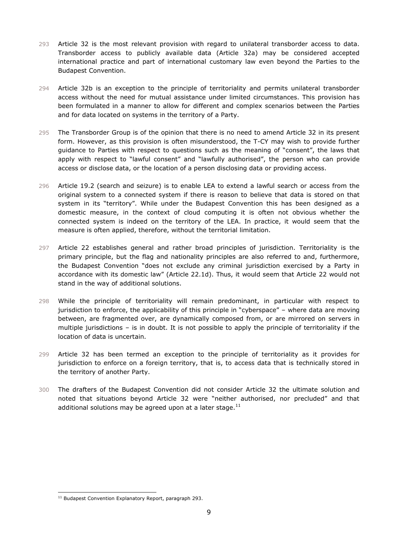- 293 Article 32 is the most relevant provision with regard to unilateral transborder access to data. Transborder access to publicly available data (Article 32a) may be considered accepted international practice and part of international customary law even beyond the Parties to the Budapest Convention.
- 294 Article 32b is an exception to the principle of territoriality and permits unilateral transborder access without the need for mutual assistance under limited circumstances. This provision has been formulated in a manner to allow for different and complex scenarios between the Parties and for data located on systems in the territory of a Party.
- 295 The Transborder Group is of the opinion that there is no need to amend Article 32 in its present form. However, as this provision is often misunderstood, the T-CY may wish to provide further guidance to Parties with respect to questions such as the meaning of "consent", the laws that apply with respect to "lawful consent" and "lawfully authorised", the person who can provide access or disclose data, or the location of a person disclosing data or providing access.
- 296 Article 19.2 (search and seizure) is to enable LEA to extend a lawful search or access from the original system to a connected system if there is reason to believe that data is stored on that system in its "territory". While under the Budapest Convention this has been designed as a domestic measure, in the context of cloud computing it is often not obvious whether the connected system is indeed on the territory of the LEA. In practice, it would seem that the measure is often applied, therefore, without the territorial limitation.
- 297 Article 22 establishes general and rather broad principles of jurisdiction. Territoriality is the primary principle, but the flag and nationality principles are also referred to and, furthermore, the Budapest Convention "does not exclude any criminal jurisdiction exercised by a Party in accordance with its domestic law" (Article 22.1d). Thus, it would seem that Article 22 would not stand in the way of additional solutions.
- 298 While the principle of territoriality will remain predominant, in particular with respect to jurisdiction to enforce, the applicability of this principle in "cyberspace" - where data are moving between, are fragmented over, are dynamically composed from, or are mirrored on servers in multiple jurisdictions  $-$  is in doubt. It is not possible to apply the principle of territoriality if the location of data is uncertain.
- 299 Article 32 has been termed an exception to the principle of territoriality as it provides for jurisdiction to enforce on a foreign territory, that is, to access data that is technically stored in the territory of another Party.
- 300 The drafters of the Budapest Convention did not consider Article 32 the ultimate solution and noted that situations beyond Article 32 were "neither authorised, nor precluded" and that additional solutions may be agreed upon at a later stage. $^{11}$

i<br>I

<sup>&</sup>lt;sup>11</sup> Budapest Convention Explanatory Report, paragraph 293.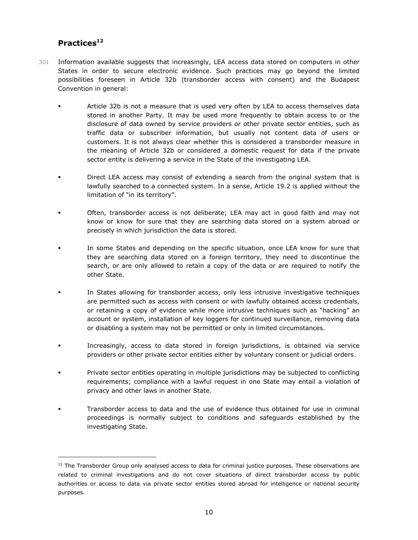# **Practices<sup>12</sup>**

i<br>I

- 301 Information available suggests that increasingly, LEA access data stored on computers in other States in order to secure electronic evidence. Such practices may go beyond the limited possibilities foreseen in Article 32b (transborder access with consent) and the Budapest Convention in general:
	- Article 32b is not a measure that is used very often by LEA to access themselves data stored in another Party. It may be used more frequently to obtain access to or the disclosure of data owned by service providers or other private sector entities, such as traffic data or subscriber information, but usually not content data of users or customers. It is not always clear whether this is considered a transborder measure in the meaning of Article 32b or considered a domestic request for data if the private sector entity is delivering a service in the State of the investigating LEA.
	- Direct LEA access may consist of extending a search from the original system that is lawfully searched to a connected system. In a sense, Article 19.2 is applied without the limitation of "in its territory".
	- Often, transborder access is not deliberate; LEA may act in good faith and may not know or know for sure that they are searching data stored on a system abroad or precisely in which jurisdiction the data is stored.
	- In some States and depending on the specific situation, once LEA know for sure that they are searching data stored on a foreign territory, they need to discontinue the search, or are only allowed to retain a copy of the data or are required to notify the other State.
	- In States allowing for transborder access, only less intrusive investigative techniques are permitted such as access with consent or with lawfully obtained access credentials, or retaining a copy of evidence while more intrusive techniques such as "hacking" an account or system, installation of key loggers for continued surveillance, removing data or disabling a system may not be permitted or only in limited circumstances.
	- Increasingly, access to data stored in foreign jurisdictions, is obtained via service providers or other private sector entities either by voluntary consent or judicial orders.
	- Private sector entities operating in multiple jurisdictions may be subjected to conflicting requirements; compliance with a lawful request in one State may entail a violation of privacy and other laws in another State.
	- Transborder access to data and the use of evidence thus obtained for use in criminal proceedings is normally subject to conditions and safeguards established by the investigating State.

<sup>&</sup>lt;sup>12</sup> The Transborder Group only analysed access to data for criminal justice purposes. These observations are related to criminal investigations and do not cover situations of direct transborder access by public authorities or access to data via private sector entities stored abroad for intelligence or national security purposes.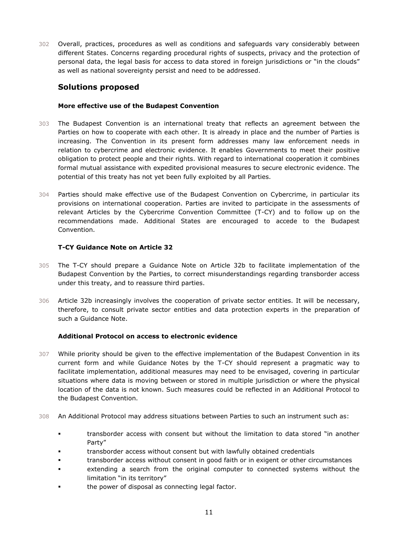302 Overall, practices, procedures as well as conditions and safeguards vary considerably between different States. Concerns regarding procedural rights of suspects, privacy and the protection of personal data, the legal basis for access to data stored in foreign jurisdictions or "in the clouds" as well as national sovereignty persist and need to be addressed.

#### **Solutions proposed**

#### **More effective use of the Budapest Convention**

- 303 The Budapest Convention is an international treaty that reflects an agreement between the Parties on how to cooperate with each other. It is already in place and the number of Parties is increasing. The Convention in its present form addresses many law enforcement needs in relation to cybercrime and electronic evidence. It enables Governments to meet their positive obligation to protect people and their rights. With regard to international cooperation it combines formal mutual assistance with expedited provisional measures to secure electronic evidence. The potential of this treaty has not yet been fully exploited by all Parties.
- 304 Parties should make effective use of the Budapest Convention on Cybercrime, in particular its provisions on international cooperation. Parties are invited to participate in the assessments of relevant Articles by the Cybercrime Convention Committee (T-CY) and to follow up on the recommendations made. Additional States are encouraged to accede to the Budapest Convention.

#### **T-CY Guidance Note on Article 32**

- 305 The T-CY should prepare a Guidance Note on Article 32b to facilitate implementation of the Budapest Convention by the Parties, to correct misunderstandings regarding transborder access under this treaty, and to reassure third parties.
- 306 Article 32b increasingly involves the cooperation of private sector entities. It will be necessary, therefore, to consult private sector entities and data protection experts in the preparation of such a Guidance Note.

#### **Additional Protocol on access to electronic evidence**

- 307 While priority should be given to the effective implementation of the Budapest Convention in its current form and while Guidance Notes by the T-CY should represent a pragmatic way to facilitate implementation, additional measures may need to be envisaged, covering in particular situations where data is moving between or stored in multiple jurisdiction or where the physical location of the data is not known. Such measures could be reflected in an Additional Protocol to the Budapest Convention.
- 308 An Additional Protocol may address situations between Parties to such an instrument such as:
	- In transborder access with consent but without the limitation to data stored "in another Party"
	- transborder access without consent but with lawfully obtained credentials
	- transborder access without consent in good faith or in exigent or other circumstances
	- extending a search from the original computer to connected systems without the limitation "in its territory"
	- the power of disposal as connecting legal factor.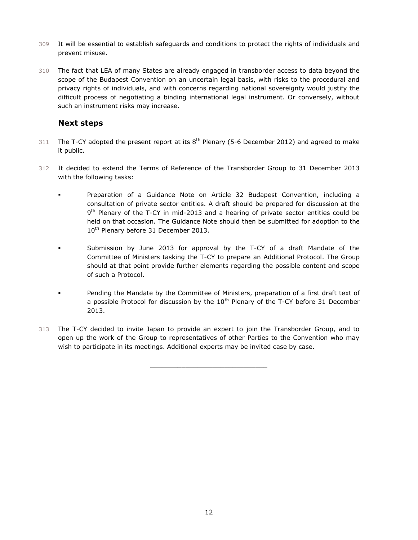- 309 It will be essential to establish safeguards and conditions to protect the rights of individuals and prevent misuse.
- 310 The fact that LEA of many States are already engaged in transborder access to data beyond the scope of the Budapest Convention on an uncertain legal basis, with risks to the procedural and privacy rights of individuals, and with concerns regarding national sovereignty would justify the difficult process of negotiating a binding international legal instrument. Or conversely, without such an instrument risks may increase.

#### **Next steps**

- 311 The T-CY adopted the present report at its  $8<sup>th</sup>$  Plenary (5-6 December 2012) and agreed to make it public.
- 312 It decided to extend the Terms of Reference of the Transborder Group to 31 December 2013 with the following tasks:
	- Preparation of a Guidance Note on Article 32 Budapest Convention, including a consultation of private sector entities. A draft should be prepared for discussion at the 9<sup>th</sup> Plenary of the T-CY in mid-2013 and a hearing of private sector entities could be held on that occasion. The Guidance Note should then be submitted for adoption to the 10<sup>th</sup> Plenary before 31 December 2013.
		- Submission by June 2013 for approval by the T-CY of a draft Mandate of the Committee of Ministers tasking the T-CY to prepare an Additional Protocol. The Group should at that point provide further elements regarding the possible content and scope of such a Protocol.
			- Pending the Mandate by the Committee of Ministers, preparation of a first draft text of a possible Protocol for discussion by the  $10^{th}$  Plenary of the T-CY before 31 December 2013.
- 313 The T-CY decided to invite Japan to provide an expert to join the Transborder Group, and to open up the work of the Group to representatives of other Parties to the Convention who may wish to participate in its meetings. Additional experts may be invited case by case.

\_\_\_\_\_\_\_\_\_\_\_\_\_\_\_\_\_\_\_\_\_\_\_\_\_\_\_\_\_\_